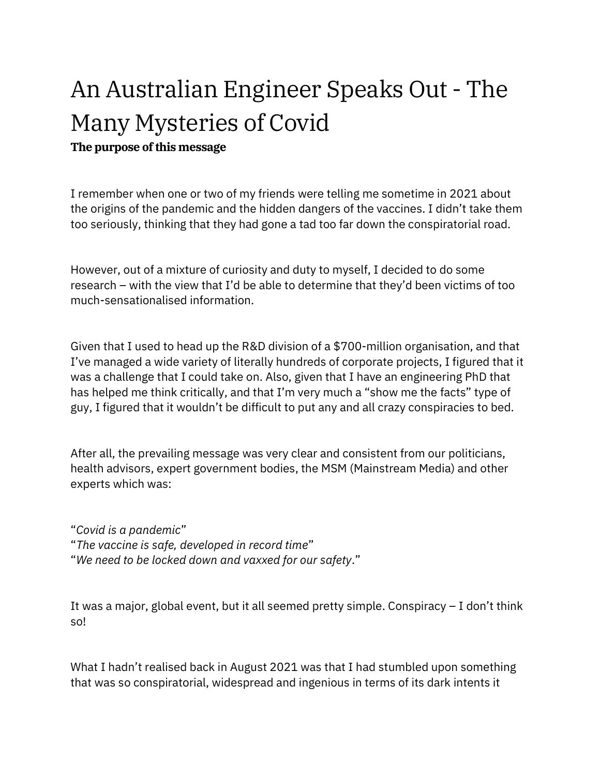# An Australian Engineer Speaks Out - The Many Mysteries of Covid

The purpose of this message

I remember when one or two of my friends were telling me sometime in 2021 about the origins of the pandemic and the hidden dangers of the vaccines. I didn't take them too seriously, thinking that they had gone a tad too far down the conspiratorial road.

However, out of a mixture of curiosity and duty to myself, I decided to do some research – with the view that I'd be able to determine that they'd been victims of too much-sensationalised information.

Given that I used to head up the R&D division of a \$700-million organisation, and that I've managed a wide variety of literally hundreds of corporate projects, I figured that it was a challenge that I could take on. Also, given that I have an engineering PhD that has helped me think critically, and that I'm very much a "show me the facts" type of guy, I figured that it wouldn't be difficult to put any and all crazy conspiracies to bed.

After all, the prevailing message was very clear and consistent from our politicians, health advisors, expert government bodies, the MSM (Mainstream Media) and other experts which was:

"Covid is a pandemic" "The vaccine is safe, developed in record time" "We need to be locked down and vaxxed for our safety."

It was a major, global event, but it all seemed pretty simple. Conspiracy – I don't think so!

What I hadn't realised back in August 2021 was that I had stumbled upon something that was so conspiratorial, widespread and ingenious in terms of its dark intents it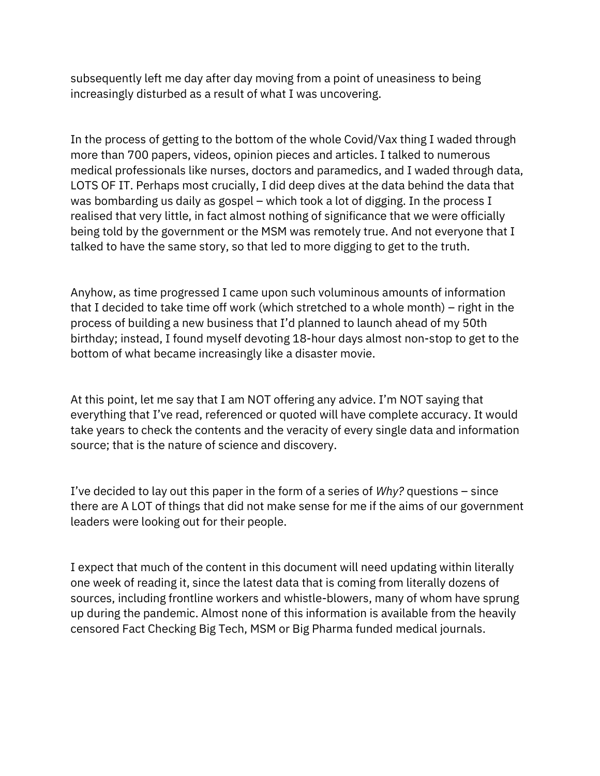subsequently left me day after day moving from a point of uneasiness to being increasingly disturbed as a result of what I was uncovering.

In the process of getting to the bottom of the whole Covid/Vax thing I waded through more than 700 papers, videos, opinion pieces and articles. I talked to numerous medical professionals like nurses, doctors and paramedics, and I waded through data, LOTS OF IT. Perhaps most crucially, I did deep dives at the data behind the data that was bombarding us daily as gospel – which took a lot of digging. In the process I realised that very little, in fact almost nothing of significance that we were officially being told by the government or the MSM was remotely true. And not everyone that I talked to have the same story, so that led to more digging to get to the truth.

Anyhow, as time progressed I came upon such voluminous amounts of information that I decided to take time off work (which stretched to a whole month) – right in the process of building a new business that I'd planned to launch ahead of my 50th birthday; instead, I found myself devoting 18-hour days almost non-stop to get to the bottom of what became increasingly like a disaster movie.

At this point, let me say that I am NOT offering any advice. I'm NOT saying that everything that I've read, referenced or quoted will have complete accuracy. It would take years to check the contents and the veracity of every single data and information source; that is the nature of science and discovery.

I've decided to lay out this paper in the form of a series of  $Why$ ? questions – since there are A LOT of things that did not make sense for me if the aims of our government leaders were looking out for their people.

I expect that much of the content in this document will need updating within literally one week of reading it, since the latest data that is coming from literally dozens of sources, including frontline workers and whistle-blowers, many of whom have sprung up during the pandemic. Almost none of this information is available from the heavily censored Fact Checking Big Tech, MSM or Big Pharma funded medical journals.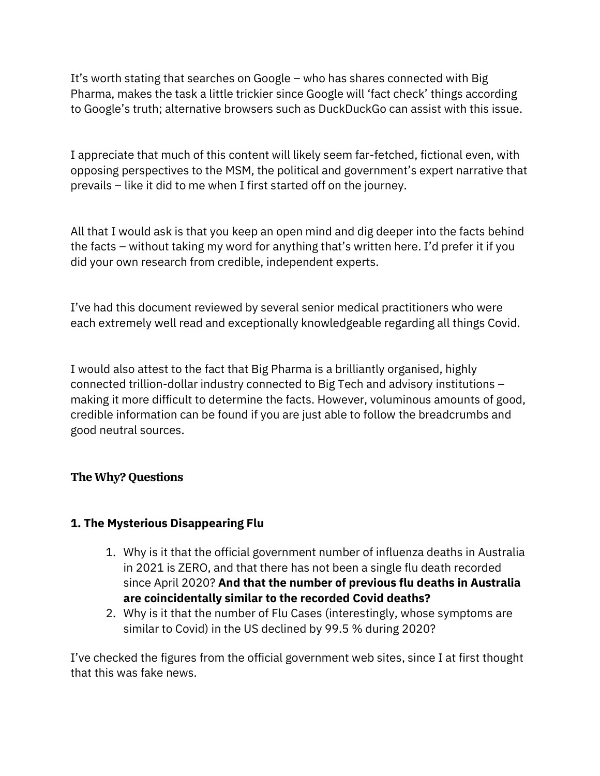It's worth stating that searches on Google – who has shares connected with Big Pharma, makes the task a little trickier since Google will 'fact check' things according to Google's truth; alternative browsers such as DuckDuckGo can assist with this issue.

I appreciate that much of this content will likely seem far-fetched, fictional even, with opposing perspectives to the MSM, the political and government's expert narrative that prevails – like it did to me when I first started off on the journey.

All that I would ask is that you keep an open mind and dig deeper into the facts behind the facts – without taking my word for anything that's written here. I'd prefer it if you did your own research from credible, independent experts.

I've had this document reviewed by several senior medical practitioners who were each extremely well read and exceptionally knowledgeable regarding all things Covid.

I would also attest to the fact that Big Pharma is a brilliantly organised, highly connected trillion-dollar industry connected to Big Tech and advisory institutions – making it more difficult to determine the facts. However, voluminous amounts of good, credible information can be found if you are just able to follow the breadcrumbs and good neutral sources.

## The Why? Questions

## 1. The Mysterious Disappearing Flu

- 1. Why is it that the official government number of influenza deaths in Australia in 2021 is ZERO, and that there has not been a single flu death recorded since April 2020? And that the number of previous flu deaths in Australia are coincidentally similar to the recorded Covid deaths?
- 2. Why is it that the number of Flu Cases (interestingly, whose symptoms are similar to Covid) in the US declined by 99.5 % during 2020?

I've checked the figures from the official government web sites, since I at first thought that this was fake news.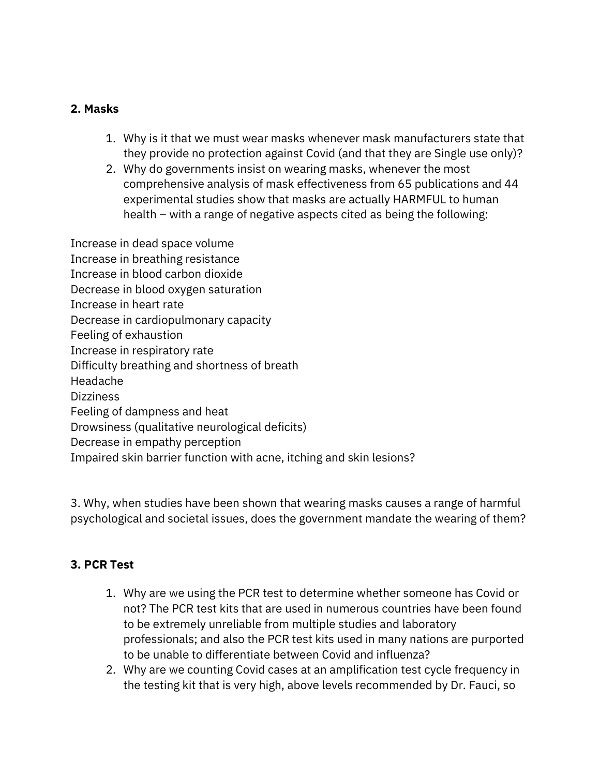## 2. Masks

- 1. Why is it that we must wear masks whenever mask manufacturers state that they provide no protection against Covid (and that they are Single use only)?
- 2. Why do governments insist on wearing masks, whenever the most comprehensive analysis of mask effectiveness from 65 publications and 44 experimental studies show that masks are actually HARMFUL to human health – with a range of negative aspects cited as being the following:

Increase in dead space volume Increase in breathing resistance Increase in blood carbon dioxide Decrease in blood oxygen saturation Increase in heart rate Decrease in cardiopulmonary capacity Feeling of exhaustion Increase in respiratory rate Difficulty breathing and shortness of breath Headache Dizziness Feeling of dampness and heat Drowsiness (qualitative neurological deficits) Decrease in empathy perception Impaired skin barrier function with acne, itching and skin lesions?

3. Why, when studies have been shown that wearing masks causes a range of harmful psychological and societal issues, does the government mandate the wearing of them?

## 3. PCR Test

- 1. Why are we using the PCR test to determine whether someone has Covid or not? The PCR test kits that are used in numerous countries have been found to be extremely unreliable from multiple studies and laboratory professionals; and also the PCR test kits used in many nations are purported to be unable to differentiate between Covid and influenza?
- 2. Why are we counting Covid cases at an amplification test cycle frequency in the testing kit that is very high, above levels recommended by Dr. Fauci, so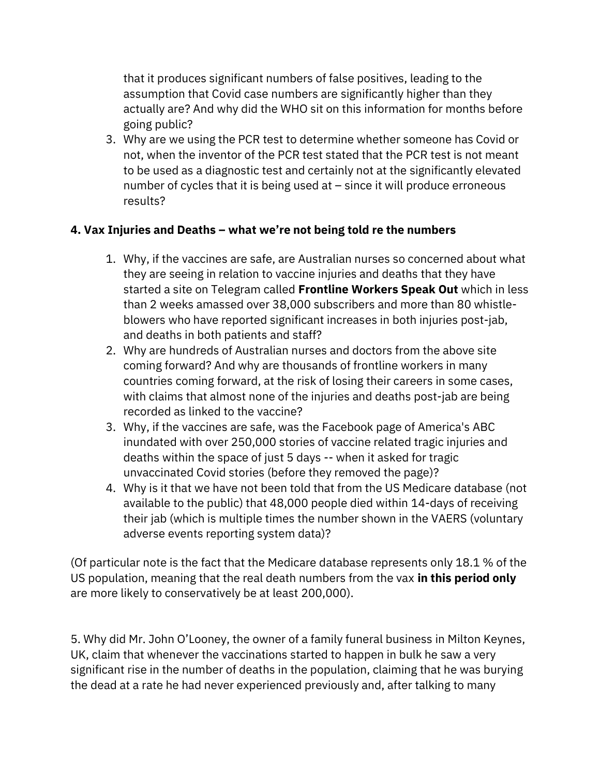that it produces significant numbers of false positives, leading to the assumption that Covid case numbers are significantly higher than they actually are? And why did the WHO sit on this information for months before going public?

3. Why are we using the PCR test to determine whether someone has Covid or not, when the inventor of the PCR test stated that the PCR test is not meant to be used as a diagnostic test and certainly not at the significantly elevated number of cycles that it is being used at – since it will produce erroneous results?

## 4. Vax Injuries and Deaths – what we're not being told re the numbers

- 1. Why, if the vaccines are safe, are Australian nurses so concerned about what they are seeing in relation to vaccine injuries and deaths that they have started a site on Telegram called Frontline Workers Speak Out which in less than 2 weeks amassed over 38,000 subscribers and more than 80 whistleblowers who have reported significant increases in both injuries post-jab, and deaths in both patients and staff?
- 2. Why are hundreds of Australian nurses and doctors from the above site coming forward? And why are thousands of frontline workers in many countries coming forward, at the risk of losing their careers in some cases, with claims that almost none of the injuries and deaths post-jab are being recorded as linked to the vaccine?
- 3. Why, if the vaccines are safe, was the Facebook page of America's ABC inundated with over 250,000 stories of vaccine related tragic injuries and deaths within the space of just 5 days -- when it asked for tragic unvaccinated Covid stories (before they removed the page)?
- 4. Why is it that we have not been told that from the US Medicare database (not available to the public) that 48,000 people died within 14-days of receiving their jab (which is multiple times the number shown in the VAERS (voluntary adverse events reporting system data)?

(Of particular note is the fact that the Medicare database represents only 18.1 % of the US population, meaning that the real death numbers from the vax in this period only are more likely to conservatively be at least 200,000).

5. Why did Mr. John O'Looney, the owner of a family funeral business in Milton Keynes, UK, claim that whenever the vaccinations started to happen in bulk he saw a very significant rise in the number of deaths in the population, claiming that he was burying the dead at a rate he had never experienced previously and, after talking to many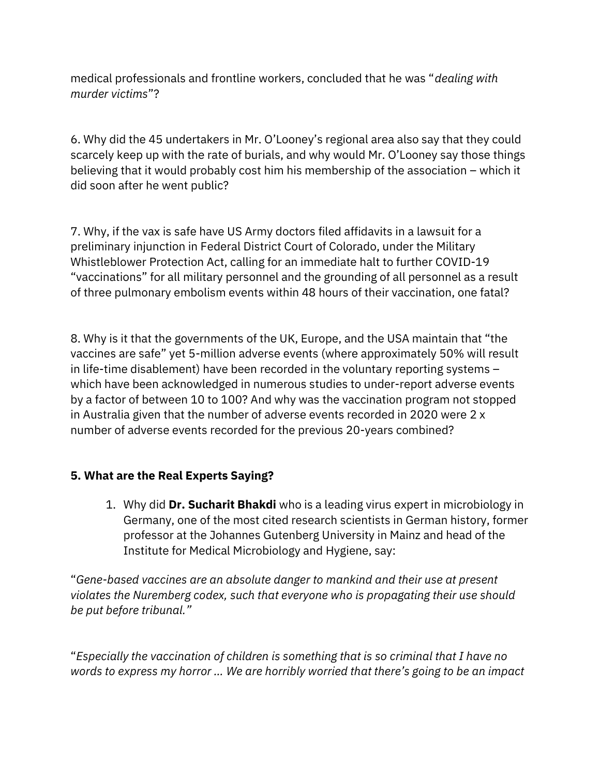medical professionals and frontline workers, concluded that he was "dealing with murder victims"?

6. Why did the 45 undertakers in Mr. O'Looney's regional area also say that they could scarcely keep up with the rate of burials, and why would Mr. O'Looney say those things believing that it would probably cost him his membership of the association – which it did soon after he went public?

7. Why, if the vax is safe have US Army doctors filed affidavits in a lawsuit for a preliminary injunction in Federal District Court of Colorado, under the Military Whistleblower Protection Act, calling for an immediate halt to further COVID-19 "vaccinations" for all military personnel and the grounding of all personnel as a result of three pulmonary embolism events within 48 hours of their vaccination, one fatal?

8. Why is it that the governments of the UK, Europe, and the USA maintain that "the vaccines are safe" yet 5-million adverse events (where approximately 50% will result in life-time disablement) have been recorded in the voluntary reporting systems – which have been acknowledged in numerous studies to under-report adverse events by a factor of between 10 to 100? And why was the vaccination program not stopped in Australia given that the number of adverse events recorded in 2020 were 2 x number of adverse events recorded for the previous 20-years combined?

## 5. What are the Real Experts Saying?

1. Why did Dr. Sucharit Bhakdi who is a leading virus expert in microbiology in Germany, one of the most cited research scientists in German history, former professor at the Johannes Gutenberg University in Mainz and head of the Institute for Medical Microbiology and Hygiene, say:

"Gene-based vaccines are an absolute danger to mankind and their use at present violates the Nuremberg codex, such that everyone who is propagating their use should be put before tribunal."

"Especially the vaccination of children is something that is so criminal that I have no words to express my horror … We are horribly worried that there's going to be an impact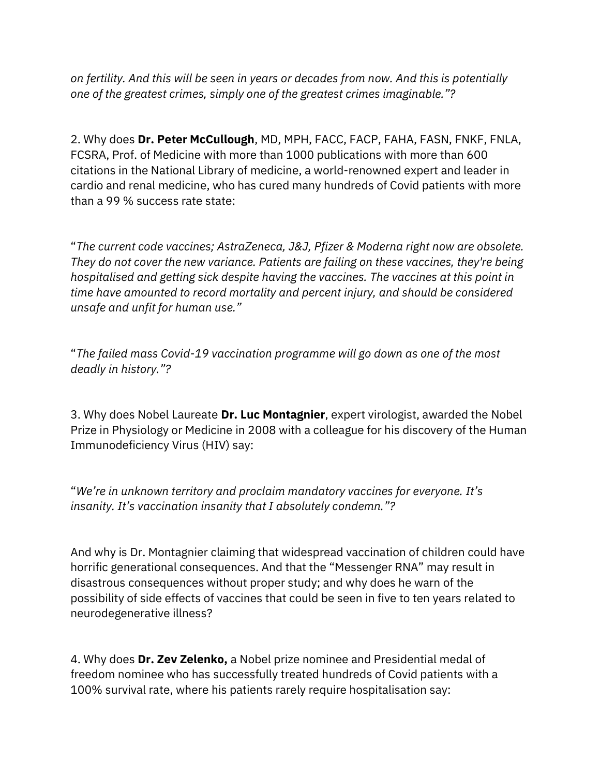on fertility. And this will be seen in years or decades from now. And this is potentially one of the greatest crimes, simply one of the greatest crimes imaginable."?

2. Why does Dr. Peter McCullough, MD, MPH, FACC, FACP, FAHA, FASN, FNKF, FNLA, FCSRA, Prof. of Medicine with more than 1000 publications with more than 600 citations in the National Library of medicine, a world-renowned expert and leader in cardio and renal medicine, who has cured many hundreds of Covid patients with more than a 99 % success rate state:

"The current code vaccines; AstraZeneca, J&J, Pfizer & Moderna right now are obsolete. They do not cover the new variance. Patients are failing on these vaccines, they're being hospitalised and getting sick despite having the vaccines. The vaccines at this point in time have amounted to record mortality and percent injury, and should be considered unsafe and unfit for human use."

"The failed mass Covid-19 vaccination programme will go down as one of the most deadly in history."?

3. Why does Nobel Laureate Dr. Luc Montagnier, expert virologist, awarded the Nobel Prize in Physiology or Medicine in 2008 with a colleague for his discovery of the Human Immunodeficiency Virus (HIV) say:

"We're in unknown territory and proclaim mandatory vaccines for everyone. It's insanity. It's vaccination insanity that I absolutely condemn."?

And why is Dr. Montagnier claiming that widespread vaccination of children could have horrific generational consequences. And that the "Messenger RNA" may result in disastrous consequences without proper study; and why does he warn of the possibility of side effects of vaccines that could be seen in five to ten years related to neurodegenerative illness?

4. Why does **Dr. Zev Zelenko,** a Nobel prize nominee and Presidential medal of freedom nominee who has successfully treated hundreds of Covid patients with a 100% survival rate, where his patients rarely require hospitalisation say: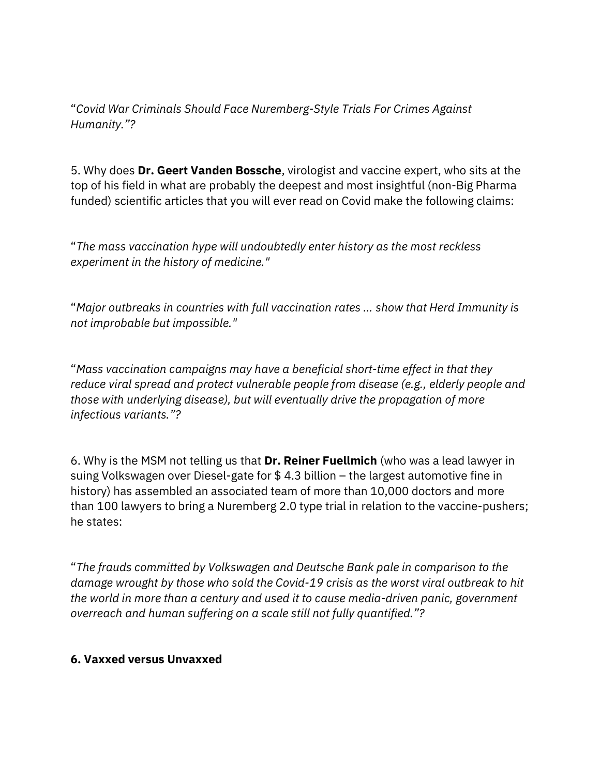"Covid War Criminals Should Face Nuremberg-Style Trials For Crimes Against Humanity."?

5. Why does Dr. Geert Vanden Bossche, virologist and vaccine expert, who sits at the top of his field in what are probably the deepest and most insightful (non-Big Pharma funded) scientific articles that you will ever read on Covid make the following claims:

"The mass vaccination hype will undoubtedly enter history as the most reckless experiment in the history of medicine."

"Major outbreaks in countries with full vaccination rates … show that Herd Immunity is not improbable but impossible."

"Mass vaccination campaigns may have a beneficial short-time effect in that they reduce viral spread and protect vulnerable people from disease (e.g., elderly people and those with underlying disease), but will eventually drive the propagation of more infectious variants."?

6. Why is the MSM not telling us that Dr. Reiner Fuellmich (who was a lead lawyer in suing Volkswagen over Diesel-gate for \$ 4.3 billion – the largest automotive fine in history) has assembled an associated team of more than 10,000 doctors and more than 100 lawyers to bring a Nuremberg 2.0 type trial in relation to the vaccine-pushers; he states:

"The frauds committed by Volkswagen and Deutsche Bank pale in comparison to the damage wrought by those who sold the Covid-19 crisis as the worst viral outbreak to hit the world in more than a century and used it to cause media-driven panic, government overreach and human suffering on a scale still not fully quantified."?

## 6. Vaxxed versus Unvaxxed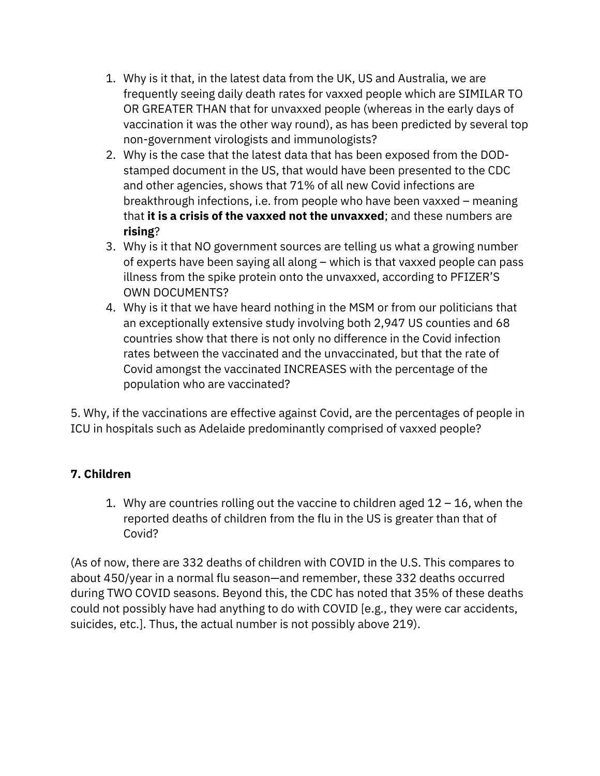- 1. Why is it that, in the latest data from the UK, US and Australia, we are frequently seeing daily death rates for vaxxed people which are SIMILAR TO OR GREATER THAN that for unvaxxed people (whereas in the early days of vaccination it was the other way round), as has been predicted by several top non-government virologists and immunologists?
- 2. Why is the case that the latest data that has been exposed from the DODstamped document in the US, that would have been presented to the CDC and other agencies, shows that 71% of all new Covid infections are breakthrough infections, i.e. from people who have been vaxxed – meaning that it is a crisis of the vaxxed not the unvaxxed; and these numbers are rising?
- 3. Why is it that NO government sources are telling us what a growing number of experts have been saying all along – which is that vaxxed people can pass illness from the spike protein onto the unvaxxed, according to PFIZER'S OWN DOCUMENTS?
- 4. Why is it that we have heard nothing in the MSM or from our politicians that an exceptionally extensive study involving both 2,947 US counties and 68 countries show that there is not only no difference in the Covid infection rates between the vaccinated and the unvaccinated, but that the rate of Covid amongst the vaccinated INCREASES with the percentage of the population who are vaccinated?

5. Why, if the vaccinations are effective against Covid, are the percentages of people in ICU in hospitals such as Adelaide predominantly comprised of vaxxed people?

## 7. Children

1. Why are countries rolling out the vaccine to children aged  $12 - 16$ , when the reported deaths of children from the flu in the US is greater than that of Covid?

(As of now, there are 332 deaths of children with COVID in the U.S. This compares to about 450/year in a normal flu season—and remember, these 332 deaths occurred during TWO COVID seasons. Beyond this, the CDC has noted that 35% of these deaths could not possibly have had anything to do with COVID [e.g., they were car accidents, suicides, etc.]. Thus, the actual number is not possibly above 219).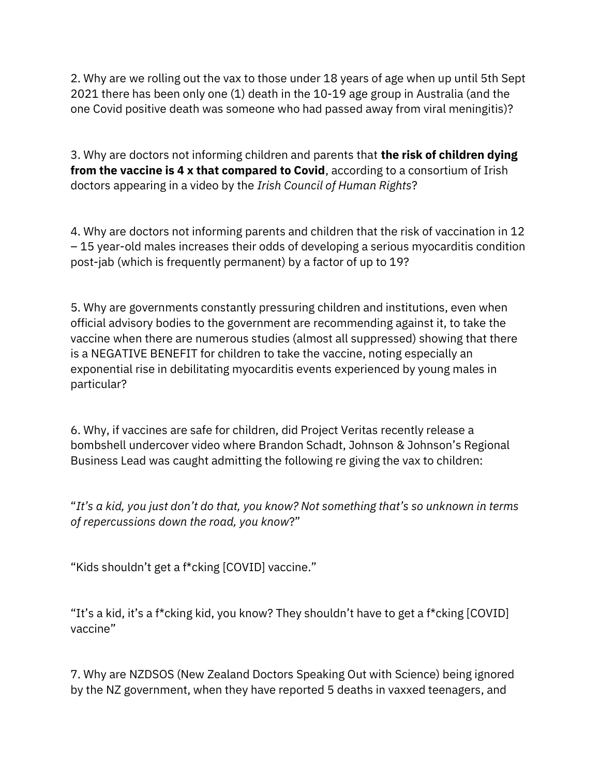2. Why are we rolling out the vax to those under 18 years of age when up until 5th Sept 2021 there has been only one (1) death in the 10-19 age group in Australia (and the one Covid positive death was someone who had passed away from viral meningitis)?

3. Why are doctors not informing children and parents that the risk of children dying from the vaccine is 4 x that compared to Covid, according to a consortium of Irish doctors appearing in a video by the Irish Council of Human Rights?

4. Why are doctors not informing parents and children that the risk of vaccination in 12 – 15 year-old males increases their odds of developing a serious myocarditis condition post-jab (which is frequently permanent) by a factor of up to 19?

5. Why are governments constantly pressuring children and institutions, even when official advisory bodies to the government are recommending against it, to take the vaccine when there are numerous studies (almost all suppressed) showing that there is a NEGATIVE BENEFIT for children to take the vaccine, noting especially an exponential rise in debilitating myocarditis events experienced by young males in particular?

6. Why, if vaccines are safe for children, did Project Veritas recently release a bombshell undercover video where Brandon Schadt, Johnson & Johnson's Regional Business Lead was caught admitting the following re giving the vax to children:

"It's a kid, you just don't do that, you know? Not something that's so unknown in terms of repercussions down the road, you know?"

"Kids shouldn't get a f\*cking [COVID] vaccine."

"It's a kid, it's a f\*cking kid, you know? They shouldn't have to get a f\*cking [COVID] vaccine"

7. Why are NZDSOS (New Zealand Doctors Speaking Out with Science) being ignored by the NZ government, when they have reported 5 deaths in vaxxed teenagers, and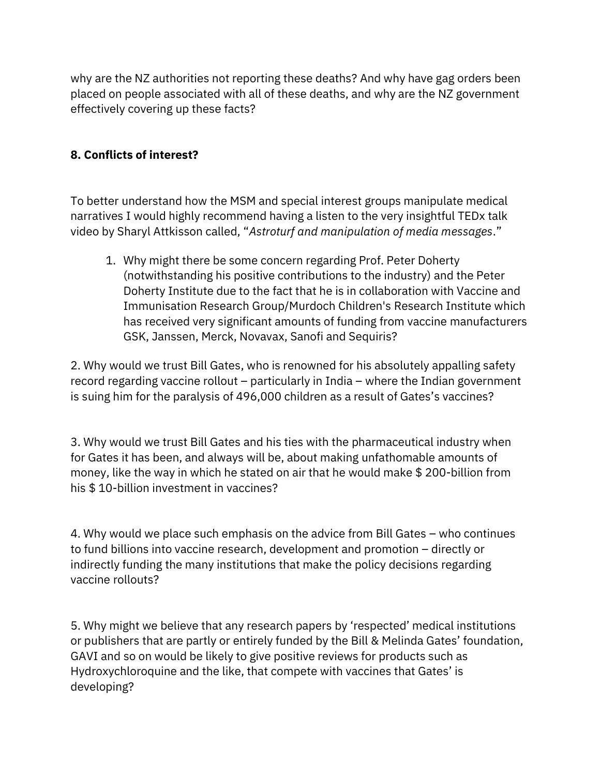why are the NZ authorities not reporting these deaths? And why have gag orders been placed on people associated with all of these deaths, and why are the NZ government effectively covering up these facts?

## 8. Conflicts of interest?

To better understand how the MSM and special interest groups manipulate medical narratives I would highly recommend having a listen to the very insightful TEDx talk video by Sharyl Attkisson called, "Astroturf and manipulation of media messages."

1. Why might there be some concern regarding Prof. Peter Doherty (notwithstanding his positive contributions to the industry) and the Peter Doherty Institute due to the fact that he is in collaboration with Vaccine and Immunisation Research Group/Murdoch Children's Research Institute which has received very significant amounts of funding from vaccine manufacturers GSK, Janssen, Merck, Novavax, Sanofi and Sequiris?

2. Why would we trust Bill Gates, who is renowned for his absolutely appalling safety record regarding vaccine rollout – particularly in India – where the Indian government is suing him for the paralysis of 496,000 children as a result of Gates's vaccines?

3. Why would we trust Bill Gates and his ties with the pharmaceutical industry when for Gates it has been, and always will be, about making unfathomable amounts of money, like the way in which he stated on air that he would make \$ 200-billion from his \$ 10-billion investment in vaccines?

4. Why would we place such emphasis on the advice from Bill Gates – who continues to fund billions into vaccine research, development and promotion – directly or indirectly funding the many institutions that make the policy decisions regarding vaccine rollouts?

5. Why might we believe that any research papers by 'respected' medical institutions or publishers that are partly or entirely funded by the Bill & Melinda Gates' foundation, GAVI and so on would be likely to give positive reviews for products such as Hydroxychloroquine and the like, that compete with vaccines that Gates' is developing?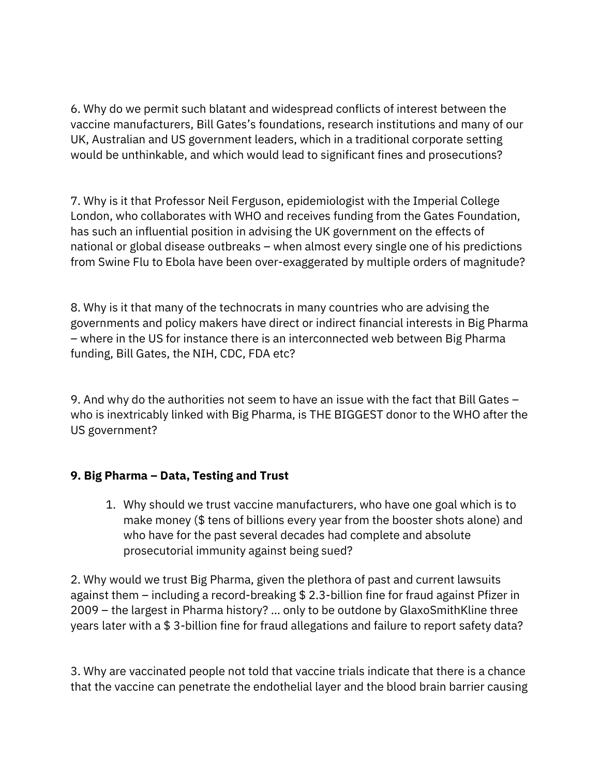6. Why do we permit such blatant and widespread conflicts of interest between the vaccine manufacturers, Bill Gates's foundations, research institutions and many of our UK, Australian and US government leaders, which in a traditional corporate setting would be unthinkable, and which would lead to significant fines and prosecutions?

7. Why is it that Professor Neil Ferguson, epidemiologist with the Imperial College London, who collaborates with WHO and receives funding from the Gates Foundation, has such an influential position in advising the UK government on the effects of national or global disease outbreaks – when almost every single one of his predictions from Swine Flu to Ebola have been over-exaggerated by multiple orders of magnitude?

8. Why is it that many of the technocrats in many countries who are advising the governments and policy makers have direct or indirect financial interests in Big Pharma – where in the US for instance there is an interconnected web between Big Pharma funding, Bill Gates, the NIH, CDC, FDA etc?

9. And why do the authorities not seem to have an issue with the fact that Bill Gates – who is inextricably linked with Big Pharma, is THE BIGGEST donor to the WHO after the US government?

## 9. Big Pharma – Data, Testing and Trust

1. Why should we trust vaccine manufacturers, who have one goal which is to make money (\$ tens of billions every year from the booster shots alone) and who have for the past several decades had complete and absolute prosecutorial immunity against being sued?

2. Why would we trust Big Pharma, given the plethora of past and current lawsuits against them – including a record-breaking \$ 2.3-billion fine for fraud against Pfizer in 2009 – the largest in Pharma history? … only to be outdone by GlaxoSmithKline three years later with a \$ 3-billion fine for fraud allegations and failure to report safety data?

3. Why are vaccinated people not told that vaccine trials indicate that there is a chance that the vaccine can penetrate the endothelial layer and the blood brain barrier causing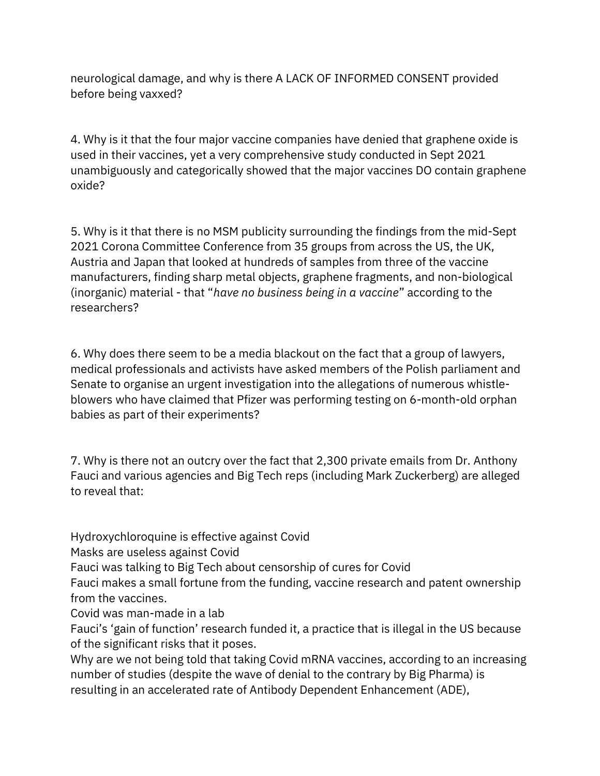neurological damage, and why is there A LACK OF INFORMED CONSENT provided before being vaxxed?

4. Why is it that the four major vaccine companies have denied that graphene oxide is used in their vaccines, yet a very comprehensive study conducted in Sept 2021 unambiguously and categorically showed that the major vaccines DO contain graphene oxide?

5. Why is it that there is no MSM publicity surrounding the findings from the mid-Sept 2021 Corona Committee Conference from 35 groups from across the US, the UK, Austria and Japan that looked at hundreds of samples from three of the vaccine manufacturers, finding sharp metal objects, graphene fragments, and non-biological (inorganic) material - that "have no business being in a vaccine" according to the researchers?

6. Why does there seem to be a media blackout on the fact that a group of lawyers, medical professionals and activists have asked members of the Polish parliament and Senate to organise an urgent investigation into the allegations of numerous whistleblowers who have claimed that Pfizer was performing testing on 6-month-old orphan babies as part of their experiments?

7. Why is there not an outcry over the fact that 2,300 private emails from Dr. Anthony Fauci and various agencies and Big Tech reps (including Mark Zuckerberg) are alleged to reveal that:

Hydroxychloroquine is effective against Covid

Masks are useless against Covid

Fauci was talking to Big Tech about censorship of cures for Covid

Fauci makes a small fortune from the funding, vaccine research and patent ownership from the vaccines.

Covid was man-made in a lab

Fauci's 'gain of function' research funded it, a practice that is illegal in the US because of the significant risks that it poses.

Why are we not being told that taking Covid mRNA vaccines, according to an increasing number of studies (despite the wave of denial to the contrary by Big Pharma) is resulting in an accelerated rate of Antibody Dependent Enhancement (ADE),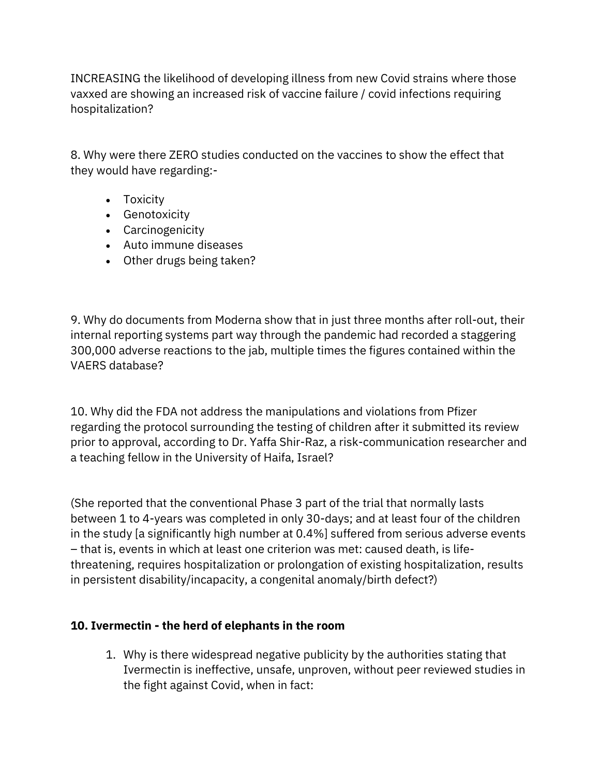INCREASING the likelihood of developing illness from new Covid strains where those vaxxed are showing an increased risk of vaccine failure / covid infections requiring hospitalization?

8. Why were there ZERO studies conducted on the vaccines to show the effect that they would have regarding:-

- Toxicity
- **•** Genotoxicity
- Carcinogenicity
- Auto immune diseases
- Other drugs being taken?

9. Why do documents from Moderna show that in just three months after roll-out, their internal reporting systems part way through the pandemic had recorded a staggering 300,000 adverse reactions to the jab, multiple times the figures contained within the VAERS database?

10. Why did the FDA not address the manipulations and violations from Pfizer regarding the protocol surrounding the testing of children after it submitted its review prior to approval, according to Dr. Yaffa Shir-Raz, a risk-communication researcher and a teaching fellow in the University of Haifa, Israel?

(She reported that the conventional Phase 3 part of the trial that normally lasts between 1 to 4-years was completed in only 30-days; and at least four of the children in the study [a significantly high number at 0.4%] suffered from serious adverse events – that is, events in which at least one criterion was met: caused death, is lifethreatening, requires hospitalization or prolongation of existing hospitalization, results in persistent disability/incapacity, a congenital anomaly/birth defect?)

## 10. Ivermectin - the herd of elephants in the room

1. Why is there widespread negative publicity by the authorities stating that Ivermectin is ineffective, unsafe, unproven, without peer reviewed studies in the fight against Covid, when in fact: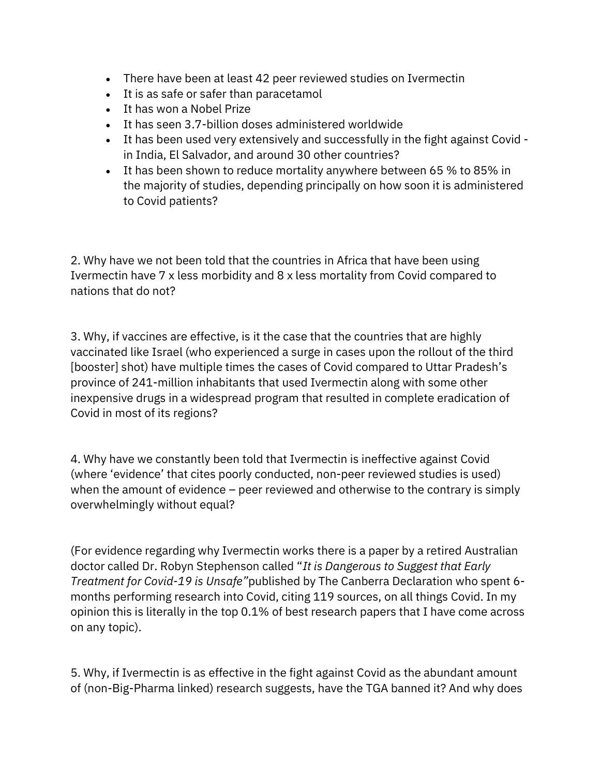- There have been at least 42 peer reviewed studies on Ivermectin
- It is as safe or safer than paracetamol
- It has won a Nobel Prize
- It has seen 3.7-billion doses administered worldwide
- It has been used very extensively and successfully in the fight against Covid in India, El Salvador, and around 30 other countries?
- It has been shown to reduce mortality anywhere between 65 % to 85% in the majority of studies, depending principally on how soon it is administered to Covid patients?

2. Why have we not been told that the countries in Africa that have been using Ivermectin have 7 x less morbidity and 8 x less mortality from Covid compared to nations that do not?

3. Why, if vaccines are effective, is it the case that the countries that are highly vaccinated like Israel (who experienced a surge in cases upon the rollout of the third [booster] shot) have multiple times the cases of Covid compared to Uttar Pradesh's province of 241-million inhabitants that used Ivermectin along with some other inexpensive drugs in a widespread program that resulted in complete eradication of Covid in most of its regions?

4. Why have we constantly been told that Ivermectin is ineffective against Covid (where 'evidence' that cites poorly conducted, non-peer reviewed studies is used) when the amount of evidence – peer reviewed and otherwise to the contrary is simply overwhelmingly without equal?

(For evidence regarding why Ivermectin works there is a paper by a retired Australian doctor called Dr. Robyn Stephenson called "It is Dangerous to Suggest that Early Treatment for Covid-19 is Unsafe"published by The Canberra Declaration who spent 6 months performing research into Covid, citing 119 sources, on all things Covid. In my opinion this is literally in the top 0.1% of best research papers that I have come across on any topic).

5. Why, if Ivermectin is as effective in the fight against Covid as the abundant amount of (non-Big-Pharma linked) research suggests, have the TGA banned it? And why does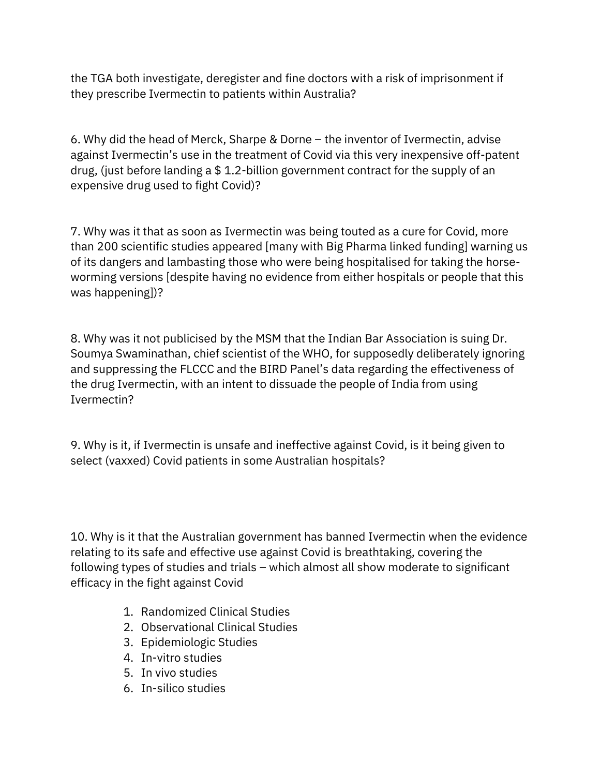the TGA both investigate, deregister and fine doctors with a risk of imprisonment if they prescribe Ivermectin to patients within Australia?

6. Why did the head of Merck, Sharpe & Dorne – the inventor of Ivermectin, advise against Ivermectin's use in the treatment of Covid via this very inexpensive off-patent drug, (just before landing a \$ 1.2-billion government contract for the supply of an expensive drug used to fight Covid)?

7. Why was it that as soon as Ivermectin was being touted as a cure for Covid, more than 200 scientific studies appeared [many with Big Pharma linked funding] warning us of its dangers and lambasting those who were being hospitalised for taking the horseworming versions [despite having no evidence from either hospitals or people that this was happening])?

8. Why was it not publicised by the MSM that the Indian Bar Association is suing Dr. Soumya Swaminathan, chief scientist of the WHO, for supposedly deliberately ignoring and suppressing the FLCCC and the BIRD Panel's data regarding the effectiveness of the drug Ivermectin, with an intent to dissuade the people of India from using Ivermectin?

9. Why is it, if Ivermectin is unsafe and ineffective against Covid, is it being given to select (vaxxed) Covid patients in some Australian hospitals?

10. Why is it that the Australian government has banned Ivermectin when the evidence relating to its safe and effective use against Covid is breathtaking, covering the following types of studies and trials – which almost all show moderate to significant efficacy in the fight against Covid

- 1. Randomized Clinical Studies
- 2. Observational Clinical Studies
- 3. Epidemiologic Studies
- 4. In-vitro studies
- 5. In vivo studies
- 6. In-silico studies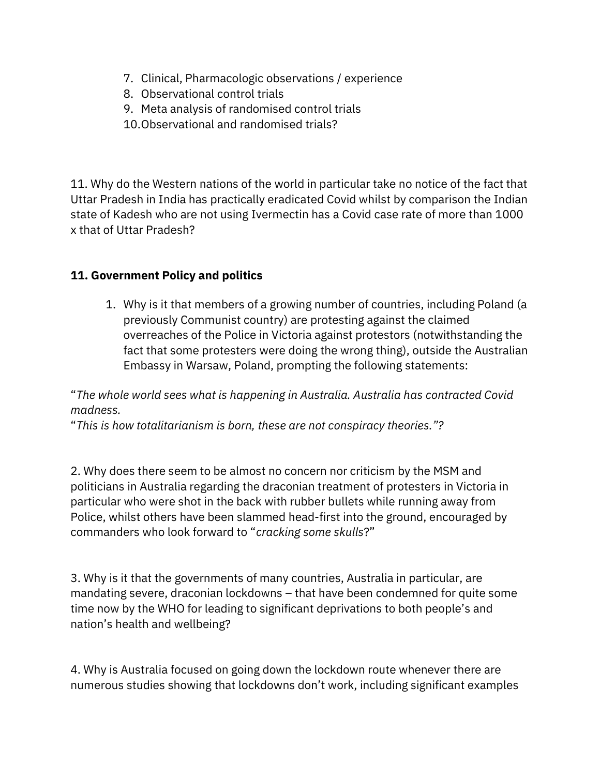- 7. Clinical, Pharmacologic observations / experience
- 8. Observational control trials
- 9. Meta analysis of randomised control trials
- 10.Observational and randomised trials?

11. Why do the Western nations of the world in particular take no notice of the fact that Uttar Pradesh in India has practically eradicated Covid whilst by comparison the Indian state of Kadesh who are not using Ivermectin has a Covid case rate of more than 1000 x that of Uttar Pradesh?

## 11. Government Policy and politics

1. Why is it that members of a growing number of countries, including Poland (a previously Communist country) are protesting against the claimed overreaches of the Police in Victoria against protestors (notwithstanding the fact that some protesters were doing the wrong thing), outside the Australian Embassy in Warsaw, Poland, prompting the following statements:

"The whole world sees what is happening in Australia. Australia has contracted Covid madness.

"This is how totalitarianism is born, these are not conspiracy theories."?

2. Why does there seem to be almost no concern nor criticism by the MSM and politicians in Australia regarding the draconian treatment of protesters in Victoria in particular who were shot in the back with rubber bullets while running away from Police, whilst others have been slammed head-first into the ground, encouraged by commanders who look forward to "cracking some skulls?"

3. Why is it that the governments of many countries, Australia in particular, are mandating severe, draconian lockdowns – that have been condemned for quite some time now by the WHO for leading to significant deprivations to both people's and nation's health and wellbeing?

4. Why is Australia focused on going down the lockdown route whenever there are numerous studies showing that lockdowns don't work, including significant examples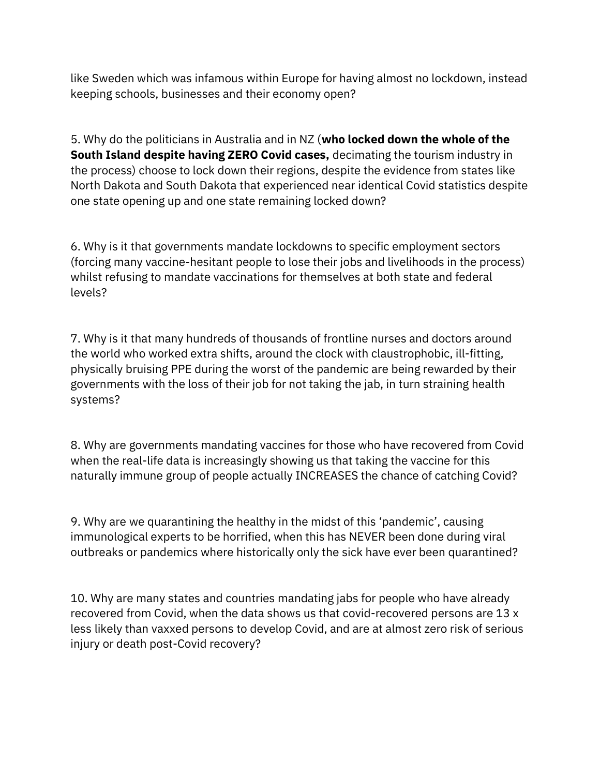like Sweden which was infamous within Europe for having almost no lockdown, instead keeping schools, businesses and their economy open?

5. Why do the politicians in Australia and in NZ (who locked down the whole of the South Island despite having ZERO Covid cases, decimating the tourism industry in the process) choose to lock down their regions, despite the evidence from states like North Dakota and South Dakota that experienced near identical Covid statistics despite one state opening up and one state remaining locked down?

6. Why is it that governments mandate lockdowns to specific employment sectors (forcing many vaccine-hesitant people to lose their jobs and livelihoods in the process) whilst refusing to mandate vaccinations for themselves at both state and federal levels?

7. Why is it that many hundreds of thousands of frontline nurses and doctors around the world who worked extra shifts, around the clock with claustrophobic, ill-fitting, physically bruising PPE during the worst of the pandemic are being rewarded by their governments with the loss of their job for not taking the jab, in turn straining health systems?

8. Why are governments mandating vaccines for those who have recovered from Covid when the real-life data is increasingly showing us that taking the vaccine for this naturally immune group of people actually INCREASES the chance of catching Covid?

9. Why are we quarantining the healthy in the midst of this 'pandemic', causing immunological experts to be horrified, when this has NEVER been done during viral outbreaks or pandemics where historically only the sick have ever been quarantined?

10. Why are many states and countries mandating jabs for people who have already recovered from Covid, when the data shows us that covid-recovered persons are 13 x less likely than vaxxed persons to develop Covid, and are at almost zero risk of serious injury or death post-Covid recovery?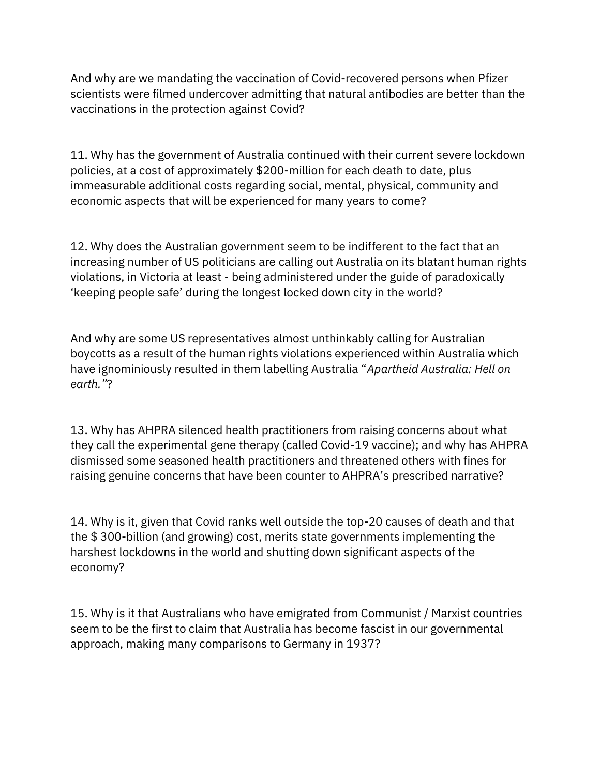And why are we mandating the vaccination of Covid-recovered persons when Pfizer scientists were filmed undercover admitting that natural antibodies are better than the vaccinations in the protection against Covid?

11. Why has the government of Australia continued with their current severe lockdown policies, at a cost of approximately \$200-million for each death to date, plus immeasurable additional costs regarding social, mental, physical, community and economic aspects that will be experienced for many years to come?

12. Why does the Australian government seem to be indifferent to the fact that an increasing number of US politicians are calling out Australia on its blatant human rights violations, in Victoria at least - being administered under the guide of paradoxically 'keeping people safe' during the longest locked down city in the world?

And why are some US representatives almost unthinkably calling for Australian boycotts as a result of the human rights violations experienced within Australia which have ignominiously resulted in them labelling Australia "Apartheid Australia: Hell on earth."?

13. Why has AHPRA silenced health practitioners from raising concerns about what they call the experimental gene therapy (called Covid-19 vaccine); and why has AHPRA dismissed some seasoned health practitioners and threatened others with fines for raising genuine concerns that have been counter to AHPRA's prescribed narrative?

14. Why is it, given that Covid ranks well outside the top-20 causes of death and that the \$ 300-billion (and growing) cost, merits state governments implementing the harshest lockdowns in the world and shutting down significant aspects of the economy?

15. Why is it that Australians who have emigrated from Communist / Marxist countries seem to be the first to claim that Australia has become fascist in our governmental approach, making many comparisons to Germany in 1937?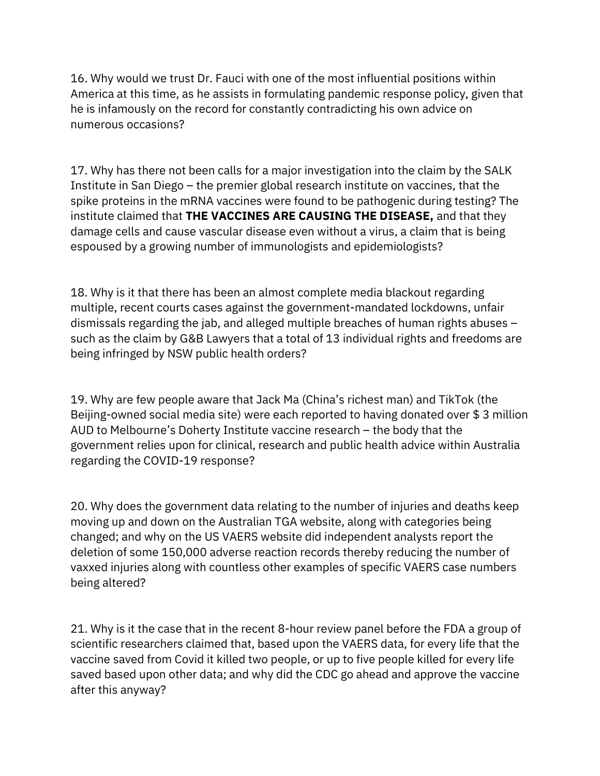16. Why would we trust Dr. Fauci with one of the most influential positions within America at this time, as he assists in formulating pandemic response policy, given that he is infamously on the record for constantly contradicting his own advice on numerous occasions?

17. Why has there not been calls for a major investigation into the claim by the SALK Institute in San Diego – the premier global research institute on vaccines, that the spike proteins in the mRNA vaccines were found to be pathogenic during testing? The institute claimed that THE VACCINES ARE CAUSING THE DISEASE, and that they damage cells and cause vascular disease even without a virus, a claim that is being espoused by a growing number of immunologists and epidemiologists?

18. Why is it that there has been an almost complete media blackout regarding multiple, recent courts cases against the government-mandated lockdowns, unfair dismissals regarding the jab, and alleged multiple breaches of human rights abuses – such as the claim by G&B Lawyers that a total of 13 individual rights and freedoms are being infringed by NSW public health orders?

19. Why are few people aware that Jack Ma (China's richest man) and TikTok (the Beijing-owned social media site) were each reported to having donated over \$ 3 million AUD to Melbourne's Doherty Institute vaccine research – the body that the government relies upon for clinical, research and public health advice within Australia regarding the COVID-19 response?

20. Why does the government data relating to the number of injuries and deaths keep moving up and down on the Australian TGA website, along with categories being changed; and why on the US VAERS website did independent analysts report the deletion of some 150,000 adverse reaction records thereby reducing the number of vaxxed injuries along with countless other examples of specific VAERS case numbers being altered?

21. Why is it the case that in the recent 8-hour review panel before the FDA a group of scientific researchers claimed that, based upon the VAERS data, for every life that the vaccine saved from Covid it killed two people, or up to five people killed for every life saved based upon other data; and why did the CDC go ahead and approve the vaccine after this anyway?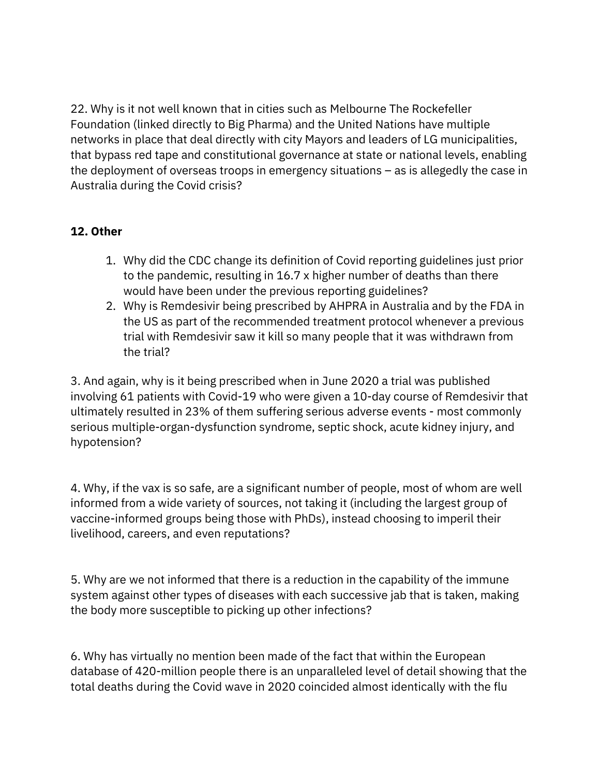22. Why is it not well known that in cities such as Melbourne The Rockefeller Foundation (linked directly to Big Pharma) and the United Nations have multiple networks in place that deal directly with city Mayors and leaders of LG municipalities, that bypass red tape and constitutional governance at state or national levels, enabling the deployment of overseas troops in emergency situations – as is allegedly the case in Australia during the Covid crisis?

## 12. Other

- 1. Why did the CDC change its definition of Covid reporting guidelines just prior to the pandemic, resulting in 16.7 x higher number of deaths than there would have been under the previous reporting guidelines?
- 2. Why is Remdesivir being prescribed by AHPRA in Australia and by the FDA in the US as part of the recommended treatment protocol whenever a previous trial with Remdesivir saw it kill so many people that it was withdrawn from the trial?

3. And again, why is it being prescribed when in June 2020 a trial was published involving 61 patients with Covid-19 who were given a 10-day course of Remdesivir that ultimately resulted in 23% of them suffering serious adverse events - most commonly serious multiple-organ-dysfunction syndrome, septic shock, acute kidney injury, and hypotension?

4. Why, if the vax is so safe, are a significant number of people, most of whom are well informed from a wide variety of sources, not taking it (including the largest group of vaccine-informed groups being those with PhDs), instead choosing to imperil their livelihood, careers, and even reputations?

5. Why are we not informed that there is a reduction in the capability of the immune system against other types of diseases with each successive jab that is taken, making the body more susceptible to picking up other infections?

6. Why has virtually no mention been made of the fact that within the European database of 420-million people there is an unparalleled level of detail showing that the total deaths during the Covid wave in 2020 coincided almost identically with the flu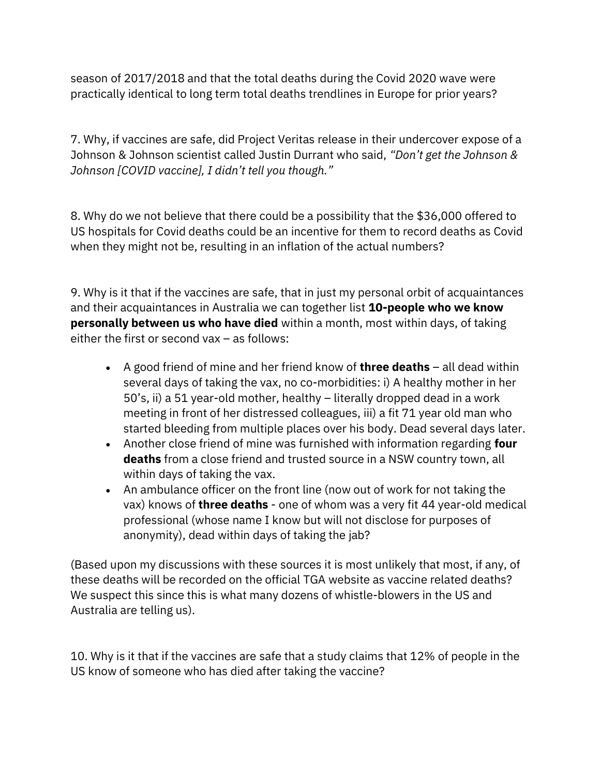season of 2017/2018 and that the total deaths during the Covid 2020 wave were practically identical to long term total deaths trendlines in Europe for prior years?

7. Why, if vaccines are safe, did Project Veritas release in their undercover expose of a Johnson & Johnson scientist called Justin Durrant who said, "Don't get the Johnson & Johnson [COVID vaccine], I didn't tell you though."

8. Why do we not believe that there could be a possibility that the \$36,000 offered to US hospitals for Covid deaths could be an incentive for them to record deaths as Covid when they might not be, resulting in an inflation of the actual numbers?

9. Why is it that if the vaccines are safe, that in just my personal orbit of acquaintances and their acquaintances in Australia we can together list 10-people who we know personally between us who have died within a month, most within days, of taking either the first or second vax – as follows:

- A good friend of mine and her friend know of **three deaths**  $-$  all dead within several days of taking the vax, no co-morbidities: i) A healthy mother in her 50's, ii) a 51 year-old mother, healthy – literally dropped dead in a work meeting in front of her distressed colleagues, iii) a fit 71 year old man who started bleeding from multiple places over his body. Dead several days later.
- Another close friend of mine was furnished with information regarding four deaths from a close friend and trusted source in a NSW country town, all within days of taking the vax.
- An ambulance officer on the front line (now out of work for not taking the vax) knows of three deaths - one of whom was a very fit 44 year-old medical professional (whose name I know but will not disclose for purposes of anonymity), dead within days of taking the jab?

(Based upon my discussions with these sources it is most unlikely that most, if any, of these deaths will be recorded on the official TGA website as vaccine related deaths? We suspect this since this is what many dozens of whistle-blowers in the US and Australia are telling us).

10. Why is it that if the vaccines are safe that a study claims that 12% of people in the US know of someone who has died after taking the vaccine?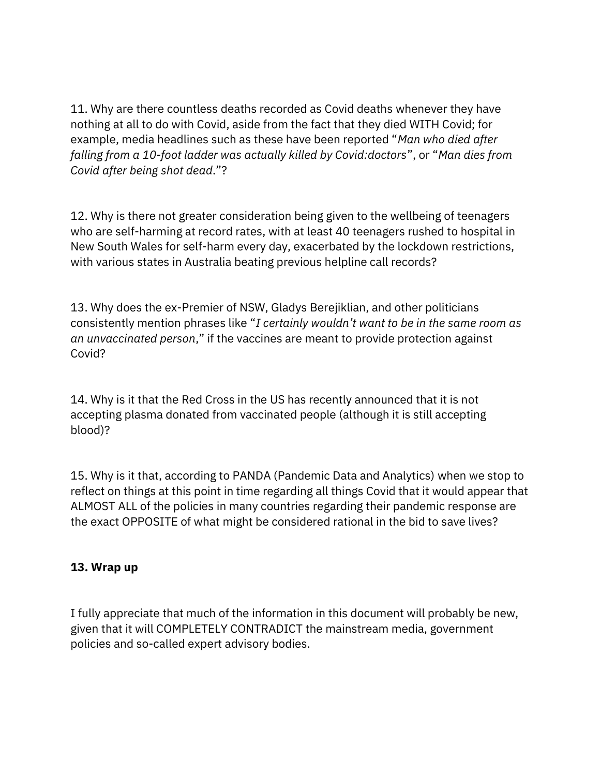11. Why are there countless deaths recorded as Covid deaths whenever they have nothing at all to do with Covid, aside from the fact that they died WITH Covid; for example, media headlines such as these have been reported "Man who died after falling from a 10-foot ladder was actually killed by Covid:doctors", or "Man dies from Covid after being shot dead."?

12. Why is there not greater consideration being given to the wellbeing of teenagers who are self-harming at record rates, with at least 40 teenagers rushed to hospital in New South Wales for self-harm every day, exacerbated by the lockdown restrictions, with various states in Australia beating previous helpline call records?

13. Why does the ex-Premier of NSW, Gladys Berejiklian, and other politicians consistently mention phrases like "I certainly wouldn't want to be in the same room as an unvaccinated person," if the vaccines are meant to provide protection against Covid?

14. Why is it that the Red Cross in the US has recently announced that it is not accepting plasma donated from vaccinated people (although it is still accepting blood)?

15. Why is it that, according to PANDA (Pandemic Data and Analytics) when we stop to reflect on things at this point in time regarding all things Covid that it would appear that ALMOST ALL of the policies in many countries regarding their pandemic response are the exact OPPOSITE of what might be considered rational in the bid to save lives?

## 13. Wrap up

I fully appreciate that much of the information in this document will probably be new, given that it will COMPLETELY CONTRADICT the mainstream media, government policies and so-called expert advisory bodies.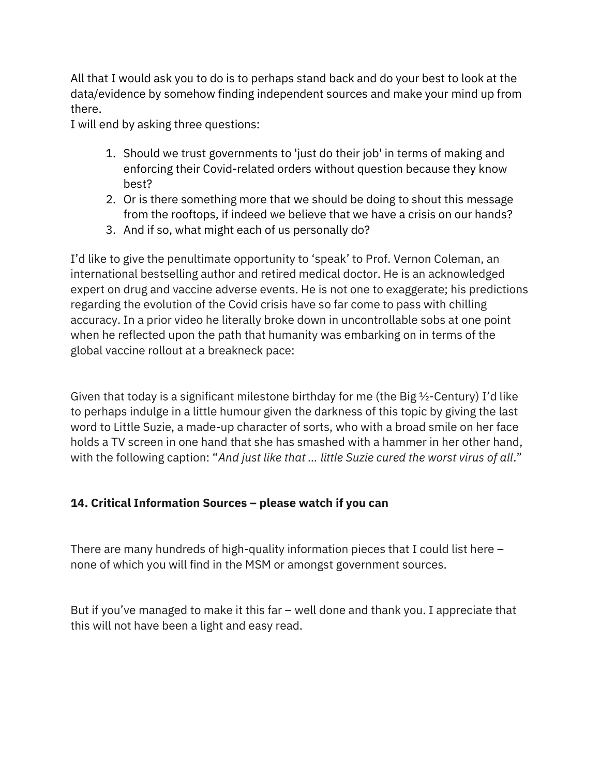All that I would ask you to do is to perhaps stand back and do your best to look at the data/evidence by somehow finding independent sources and make your mind up from there.

I will end by asking three questions:

- 1. Should we trust governments to 'just do their job' in terms of making and enforcing their Covid-related orders without question because they know best?
- 2. Or is there something more that we should be doing to shout this message from the rooftops, if indeed we believe that we have a crisis on our hands?
- 3. And if so, what might each of us personally do?

I'd like to give the penultimate opportunity to 'speak' to Prof. Vernon Coleman, an international bestselling author and retired medical doctor. He is an acknowledged expert on drug and vaccine adverse events. He is not one to exaggerate; his predictions regarding the evolution of the Covid crisis have so far come to pass with chilling accuracy. In a prior video he literally broke down in uncontrollable sobs at one point when he reflected upon the path that humanity was embarking on in terms of the global vaccine rollout at a breakneck pace:

Given that today is a significant milestone birthday for me (the Big  $\frac{1}{2}$ -Century) I'd like to perhaps indulge in a little humour given the darkness of this topic by giving the last word to Little Suzie, a made-up character of sorts, who with a broad smile on her face holds a TV screen in one hand that she has smashed with a hammer in her other hand, with the following caption: "And just like that ... little Suzie cured the worst virus of all."

## 14. Critical Information Sources – please watch if you can

There are many hundreds of high-quality information pieces that I could list here – none of which you will find in the MSM or amongst government sources.

But if you've managed to make it this far – well done and thank you. I appreciate that this will not have been a light and easy read.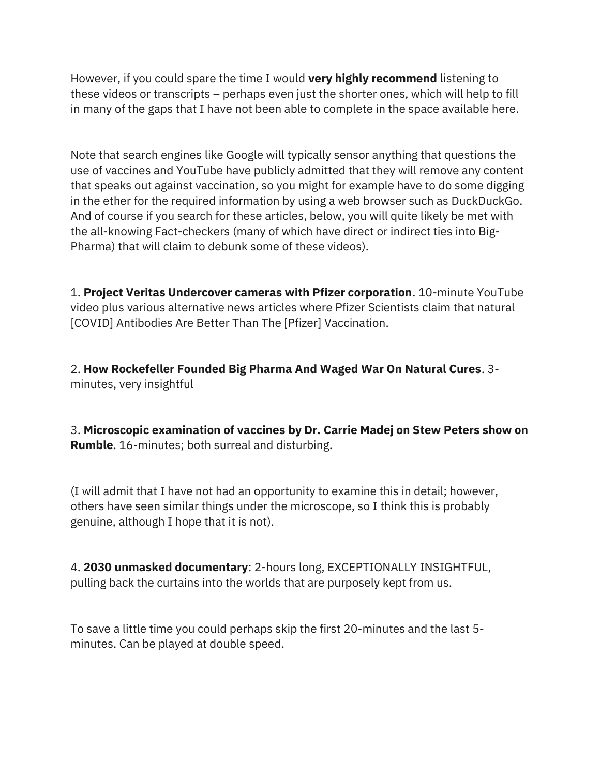However, if you could spare the time I would very highly recommend listening to these videos or transcripts – perhaps even just the shorter ones, which will help to fill in many of the gaps that I have not been able to complete in the space available here.

Note that search engines like Google will typically sensor anything that questions the use of vaccines and YouTube have publicly admitted that they will remove any content that speaks out against vaccination, so you might for example have to do some digging in the ether for the required information by using a web browser such as DuckDuckGo. And of course if you search for these articles, below, you will quite likely be met with the all-knowing Fact-checkers (many of which have direct or indirect ties into Big-Pharma) that will claim to debunk some of these videos).

1. Project Veritas Undercover cameras with Pfizer corporation. 10-minute YouTube video plus various alternative news articles where Pfizer Scientists claim that natural [COVID] Antibodies Are Better Than The [Pfizer] Vaccination.

2. How Rockefeller Founded Big Pharma And Waged War On Natural Cures. 3 minutes, very insightful

3. Microscopic examination of vaccines by Dr. Carrie Madej on Stew Peters show on **Rumble.** 16-minutes; both surreal and disturbing.

(I will admit that I have not had an opportunity to examine this in detail; however, others have seen similar things under the microscope, so I think this is probably genuine, although I hope that it is not).

4. 2030 unmasked documentary: 2-hours long, EXCEPTIONALLY INSIGHTFUL, pulling back the curtains into the worlds that are purposely kept from us.

To save a little time you could perhaps skip the first 20-minutes and the last 5 minutes. Can be played at double speed.